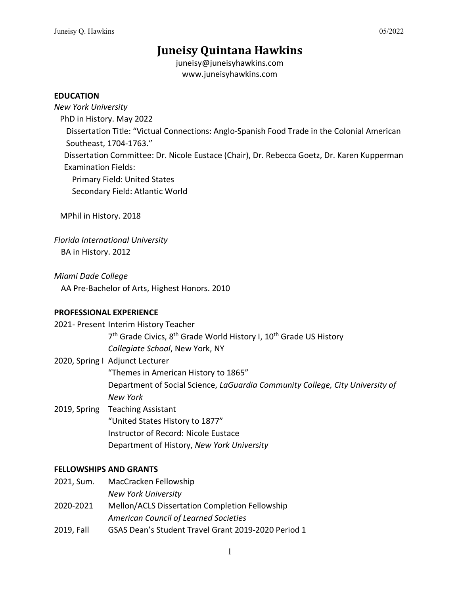# **Juneisy Quintana Hawkins**

juneisy@juneisyhawkins.com www.juneisyhawkins.com

#### **EDUCATION**

*New York University*

PhD in History. May 2022

Dissertation Title: "Victual Connections: Anglo-Spanish Food Trade in the Colonial American Southeast, 1704-1763."

 Dissertation Committee: Dr. Nicole Eustace (Chair), Dr. Rebecca Goetz, Dr. Karen Kupperman Examination Fields:

Primary Field: United States

Secondary Field: Atlantic World

MPhil in History. 2018

*Florida International University* BA in History. 2012

*Miami Dade College* AA Pre-Bachelor of Arts, Highest Honors. 2010

# **PROFESSIONAL EXPERIENCE**

2021- Present Interim History Teacher

7<sup>th</sup> Grade Civics, 8<sup>th</sup> Grade World History I, 10<sup>th</sup> Grade US History *Collegiate School*, New York, NY

2020, Spring I Adjunct Lecturer

"Themes in American History to 1865"

Department of Social Science, *LaGuardia Community College, City University of New York*

2019, Spring Teaching Assistant "United States History to 1877" Instructor of Record: Nicole Eustace Department of History, *New York University*

# **FELLOWSHIPS AND GRANTS**

2021, Sum. MacCracken Fellowship

*New York University*

- 2020-2021 Mellon/ACLS Dissertation Completion Fellowship
	- *American Council of Learned Societies*
- 2019, Fall GSAS Dean's Student Travel Grant 2019-2020 Period 1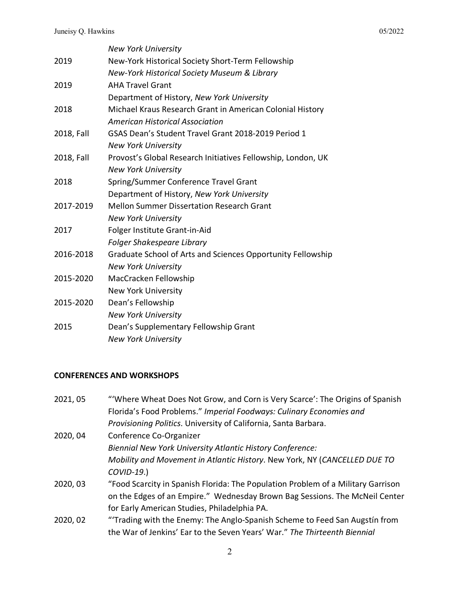|            | <b>New York University</b>                                   |
|------------|--------------------------------------------------------------|
| 2019       | New-York Historical Society Short-Term Fellowship            |
|            | New-York Historical Society Museum & Library                 |
| 2019       | <b>AHA Travel Grant</b>                                      |
|            | Department of History, New York University                   |
| 2018       | Michael Kraus Research Grant in American Colonial History    |
|            | <b>American Historical Association</b>                       |
| 2018, Fall | GSAS Dean's Student Travel Grant 2018-2019 Period 1          |
|            | <b>New York University</b>                                   |
| 2018, Fall | Provost's Global Research Initiatives Fellowship, London, UK |
|            | <b>New York University</b>                                   |
| 2018       | Spring/Summer Conference Travel Grant                        |
|            | Department of History, New York University                   |
| 2017-2019  | <b>Mellon Summer Dissertation Research Grant</b>             |
|            | <b>New York University</b>                                   |
| 2017       | Folger Institute Grant-in-Aid                                |
|            | Folger Shakespeare Library                                   |
| 2016-2018  | Graduate School of Arts and Sciences Opportunity Fellowship  |
|            | <b>New York University</b>                                   |
| 2015-2020  | MacCracken Fellowship                                        |
|            | <b>New York University</b>                                   |
| 2015-2020  | Dean's Fellowship                                            |
|            | <b>New York University</b>                                   |
| 2015       | Dean's Supplementary Fellowship Grant                        |
|            | <b>New York University</b>                                   |

# **CONFERENCES AND WORKSHOPS**

| 2021, 05 | "Where Wheat Does Not Grow, and Corn is Very Scarce': The Origins of Spanish     |
|----------|----------------------------------------------------------------------------------|
|          | Florida's Food Problems." Imperial Foodways: Culinary Economies and              |
|          | Provisioning Politics. University of California, Santa Barbara.                  |
| 2020, 04 | Conference Co-Organizer                                                          |
|          | Biennial New York University Atlantic History Conference:                        |
|          | Mobility and Movement in Atlantic History. New York, NY (CANCELLED DUE TO        |
|          | $COVID-19.$                                                                      |
| 2020, 03 | "Food Scarcity in Spanish Florida: The Population Problem of a Military Garrison |
|          | on the Edges of an Empire." Wednesday Brown Bag Sessions. The McNeil Center      |
|          | for Early American Studies, Philadelphia PA.                                     |
| 2020, 02 | "Trading with the Enemy: The Anglo-Spanish Scheme to Feed San Augstin from       |
|          | the War of Jenkins' Ear to the Seven Years' War." The Thirteenth Biennial        |
|          |                                                                                  |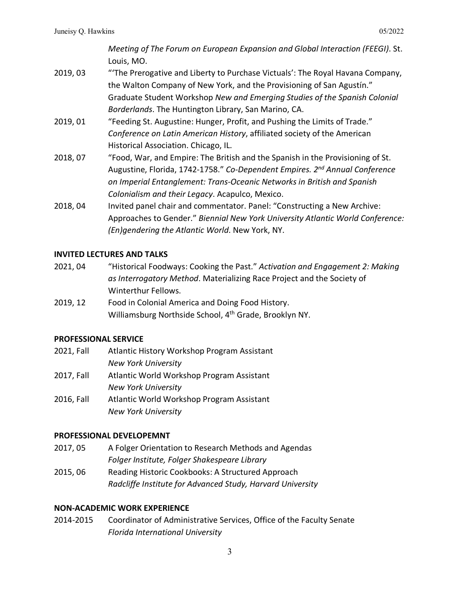*Meeting of The Forum on European Expansion and Global Interaction (FEEGI)*. St. Louis, MO.

- 2019, 03 "'The Prerogative and Liberty to Purchase Victuals': The Royal Havana Company, the Walton Company of New York, and the Provisioning of San Agustín." Graduate Student Workshop *New and Emerging Studies of the Spanish Colonial Borderlands*. The Huntington Library, San Marino, CA.
- 2019, 01 "Feeding St. Augustine: Hunger, Profit, and Pushing the Limits of Trade." *Conference on Latin American History*, affiliated society of the American Historical Association. Chicago, IL.
- 2018, 07 "Food, War, and Empire: The British and the Spanish in the Provisioning of St. Augustine, Florida, 1742-1758." *Co-Dependent Empires. 2nd Annual Conference on Imperial Entanglement: Trans-Oceanic Networks in British and Spanish Colonialism and their Legacy*. Acapulco, Mexico.
- 2018, 04 Invited panel chair and commentator. Panel: "Constructing a New Archive: Approaches to Gender." *Biennial New York University Atlantic World Conference: (En)gendering the Atlantic World*. New York, NY.

# **INVITED LECTURES AND TALKS**

- 2021, 04 "Historical Foodways: Cooking the Past." *Activation and Engagement 2: Making as Interrogatory Method*. Materializing Race Project and the Society of Winterthur Fellows.
- 2019, 12 Food in Colonial America and Doing Food History. Williamsburg Northside School, 4th Grade, Brooklyn NY.

# **PROFESSIONAL SERVICE**

- 2021, Fall Atlantic History Workshop Program Assistant *New York University*
- 2017, Fall Atlantic World Workshop Program Assistant *New York University*
- 2016, Fall Atlantic World Workshop Program Assistant *New York University*

# **PROFESSIONAL DEVELOPEMNT**

- 2017, 05 A Folger Orientation to Research Methods and Agendas *Folger Institute, Folger Shakespeare Library*
- 2015, 06 Reading Historic Cookbooks: A Structured Approach *Radcliffe Institute for Advanced Study, Harvard University*

# **NON-ACADEMIC WORK EXPERIENCE**

2014-2015 Coordinator of Administrative Services, Office of the Faculty Senate *Florida International University*